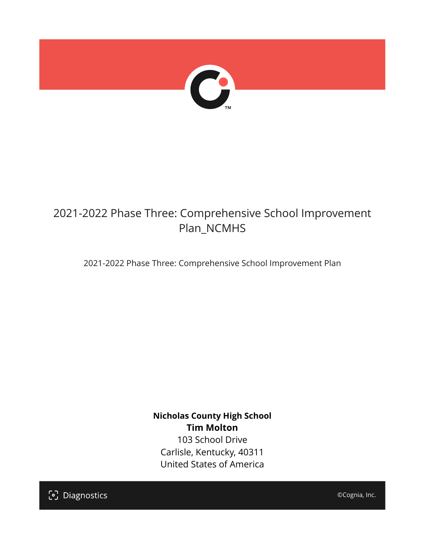

## 2021-2022 Phase Three: Comprehensive School Improvement Plan\_NCMHS

2021-2022 Phase Three: Comprehensive School Improvement Plan

**Nicholas County High School Tim Molton** 103 School Drive Carlisle, Kentucky, 40311 United States of America

[၁] Diagnostics

©Cognia, Inc.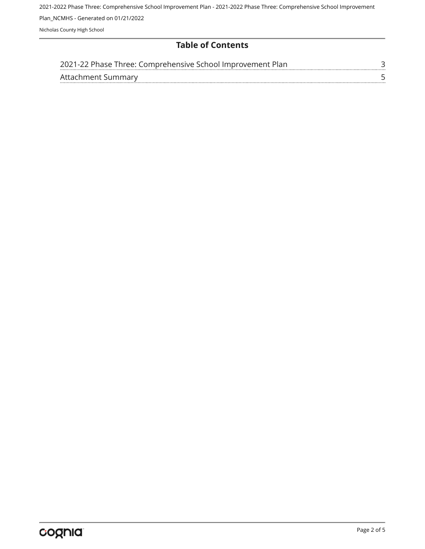### **Table of Contents**

| 2021-22 Phase Three: Comprehensive School Improvement Plan. |  |
|-------------------------------------------------------------|--|
| Attachment Summary                                          |  |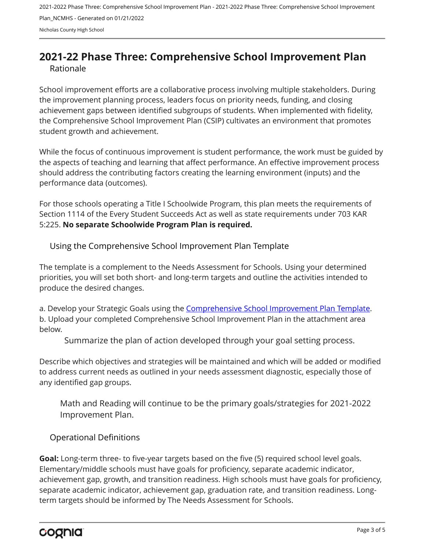## <span id="page-2-0"></span>**2021-22 Phase Three: Comprehensive School Improvement Plan** Rationale

School improvement efforts are a collaborative process involving multiple stakeholders. During the improvement planning process, leaders focus on priority needs, funding, and closing achievement gaps between identified subgroups of students. When implemented with fidelity, the Comprehensive School Improvement Plan (CSIP) cultivates an environment that promotes student growth and achievement.

While the focus of continuous improvement is student performance, the work must be guided by the aspects of teaching and learning that affect performance. An effective improvement process should address the contributing factors creating the learning environment (inputs) and the performance data (outcomes).

For those schools operating a Title I Schoolwide Program, this plan meets the requirements of Section 1114 of the Every Student Succeeds Act as well as state requirements under 703 KAR 5:225. **No separate Schoolwide Program Plan is required.**

Using the Comprehensive School Improvement Plan Template

The template is a complement to the Needs Assessment for Schools. Using your determined priorities, you will set both short- and long-term targets and outline the activities intended to produce the desired changes.

a. Develop your Strategic Goals using the [Comprehensive School Improvement Plan Template](https://education.ky.gov/school/csip/Documents/KDE Comprehensive Improvement Plan for School.docx). b. Upload your completed Comprehensive School Improvement Plan in the attachment area below.

Summarize the plan of action developed through your goal setting process.

Describe which objectives and strategies will be maintained and which will be added or modified to address current needs as outlined in your needs assessment diagnostic, especially those of any identified gap groups.

Math and Reading will continue to be the primary goals/strategies for 2021-2022 Improvement Plan.

Operational Definitions

**Goal:** Long-term three- to five-year targets based on the five (5) required school level goals. Elementary/middle schools must have goals for proficiency, separate academic indicator, achievement gap, growth, and transition readiness. High schools must have goals for proficiency, separate academic indicator, achievement gap, graduation rate, and transition readiness. Longterm targets should be informed by The Needs Assessment for Schools.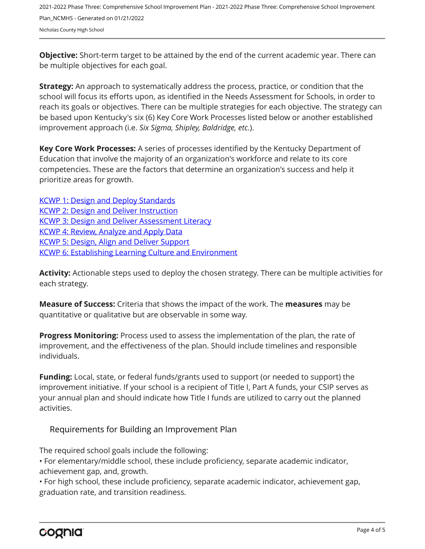**Objective:** Short-term target to be attained by the end of the current academic year. There can be multiple objectives for each goal.

**Strategy:** An approach to systematically address the process, practice, or condition that the school will focus its efforts upon, as identified in the Needs Assessment for Schools, in order to reach its goals or objectives. There can be multiple strategies for each objective. The strategy can be based upon Kentucky's six (6) Key Core Work Processes listed below or another established improvement approach (i.e. *Six Sigma, Shipley, Baldridge, etc.*).

**Key Core Work Processes:** A series of processes identified by the Kentucky Department of Education that involve the majority of an organization's workforce and relate to its core competencies. These are the factors that determine an organization's success and help it prioritize areas for growth.

[KCWP 1: Design and Deploy Standards](https://education.ky.gov/school/csip/Documents/KCWP%201%20Strategic%20Design%20and%20Deploy%20Standards.pdf) [KCWP 2: Design and Deliver Instruction](https://education.ky.gov/school/csip/Documents/KCWP%202%20Strategic%20Design%20and%20Deliver%20Instruction.pdf) [KCWP 3: Design and Deliver Assessment Literacy](https://education.ky.gov/school/csip/Documents/KCWP%203%20Strategic%20Design%20and%20Deliver%20Assessment%20Literacy.pdf) [KCWP 4: Review, Analyze and Apply Data](https://education.ky.gov/school/csip/Documents/KCWP%204%20Strategic%20Review%20Analyze%20and%20Apply%20Data.pdf) [KCWP 5: Design, Align and Deliver Support](https://education.ky.gov/school/csip/Documents/KCWP%205%20Strategic%20Design%20Align%20Deliver%20Support%20Processes.pdf) [KCWP 6: Establishing Learning Culture and Environment](https://education.ky.gov/school/csip/Documents/KCWP%206%20Strategic%20Establish%20Learning%20Culture%20and%20Environment.pdf)

**Activity:** Actionable steps used to deploy the chosen strategy. There can be multiple activities for each strategy.

**Measure of Success:** Criteria that shows the impact of the work. The **measures** may be quantitative or qualitative but are observable in some way.

**Progress Monitoring:** Process used to assess the implementation of the plan, the rate of improvement, and the effectiveness of the plan. Should include timelines and responsible individuals.

**Funding:** Local, state, or federal funds/grants used to support (or needed to support) the improvement initiative. If your school is a recipient of Title I, Part A funds, your CSIP serves as your annual plan and should indicate how Title I funds are utilized to carry out the planned activities.

#### Requirements for Building an Improvement Plan

The required school goals include the following:

• For elementary/middle school, these include proficiency, separate academic indicator, achievement gap, and, growth.

• For high school, these include proficiency, separate academic indicator, achievement gap, graduation rate, and transition readiness.